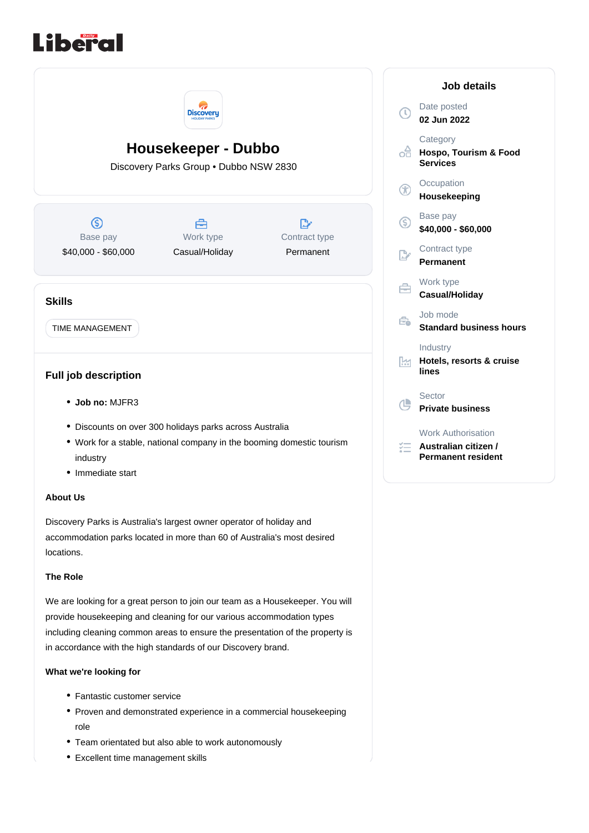



## locations. **The Role**

We are looking for a great person to join our team as a Housekeeper. You will provide housekeeping and cleaning for our various accommodation types including cleaning common areas to ensure the presentation of the property is in accordance with the high standards of our Discovery brand.

## **What we're looking for**

- Fantastic customer service
- Proven and demonstrated experience in a commercial housekeeping role
- Team orientated but also able to work autonomously
- Excellent time management skills

| Job details    |                                                                         |
|----------------|-------------------------------------------------------------------------|
| τ              | Date posted<br>02 Jun 2022                                              |
| -A             | Category<br>Hospo, Tourism & Food<br><b>Services</b>                    |
| $^\circledR$   | Occupation<br>Housekeeping                                              |
| ⑤              | Base pay<br>\$40,000 - \$60,000                                         |
| $\mathbb{R}^n$ | Contract type<br>Permanent                                              |
| a              | Work type<br>Casual/Holiday                                             |
| €              | Job mode<br><b>Standard business hours</b>                              |
| lм             | Industry<br>Hotels, resorts & cruise<br>lines                           |
| ¢              | Sector<br><b>Private business</b>                                       |
|                | <b>Work Authorisation</b><br>Australian citizen /<br>Permanent resident |